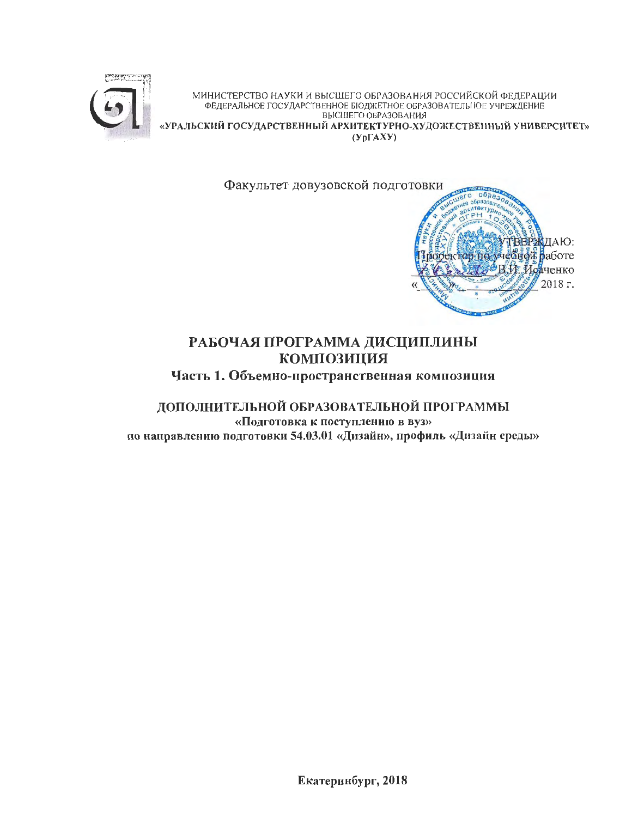

МИНИСТЕРСТВО НАУКИ И ВЫСШЕГО ОБРАЗОВАНИЯ РОССИЙСКОЙ ФЕДЕРАЦИИ<br>ФЕДЕРАЛЬНОЕ ГОСУДАРСТВЕННОЕ БЮДЖЕТНОЕ ОБРАЗОВАТЕЛЬНОЕ УЧРЕЖДЕНИЕ ВЫСШЕГО ОБРАЗОВАНИЯ «УРАЛЬСКИЙ ГОСУДАРСТВЕННЫЙ АРХИТЕКТУРНО-ХУДОЖЕСТВЕННЫЙ УНИВЕРСИТЕТ»  $(Yp\Gamma A X Y)$ 

> Факультет довузовской подготовки  $06p<sub>a</sub>$  $\overline{ }$ **ИЛАЮ: REPS** зоректор по учебной работе В. И. Исаченко

> > 2018 г.

# РАБОЧАЯ ПРОГРАММА ДИСЦИПЛИНЫ **КОМПОЗИЦИЯ**

Часть 1. Объемно-пространственная композиция

ДОПОЛНИТЕЛЬНОЙ ОБРАЗОВАТЕЛЬНОЙ ПРОГРАММЫ «Подготовка к поступлению в вуз» по направлению подготовки 54.03.01 «Дизайн», профиль «Дизайн среды»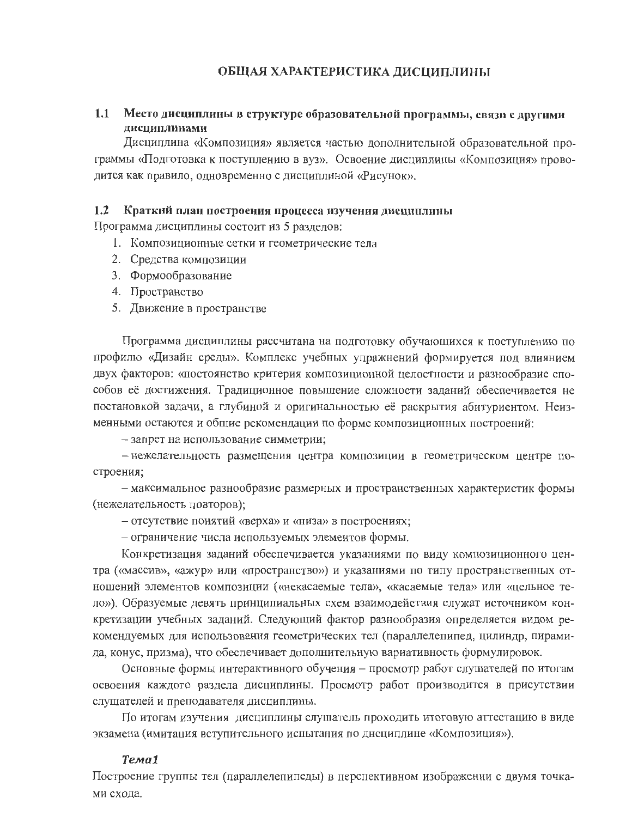#### ОБЩАЯ ХАРАКТЕРИСТИКА ДИСЦИПЛИНЫ

#### $1.1$ Место дисциплины в структуре образовательной программы, связи с другими лиспиплинами

Дисциплина «Композиция» является частью дополнительной образовательной программы «Подготовка к поступлению в вуз». Освоение дисциплины «Композиция» проводится как правило, одновременно с дисциплиной «Рисунок».

#### $1.2$ Краткий план построения процесса изучения дисциплины

Программа дисциплины состоит из 5 разделов:

- 1. Композиционные сетки и геометрические тела
- 2. Средства композиции
- 3. Формообразование
- 4. Пространство
- 5. Движение в пространстве

Программа дисциплины рассчитана на подготовку обучающихся к поступлению по профилю «Дизайн среды». Комплекс учебных упражнений формируется под влиянием двух факторов: «постоянство критерия композиционной целостности и разнообразие способов её достижения. Традиционное повышение сложности заданий обеспечивается не постановкой задачи, а глубиной и оригинальностью её раскрытия абитуриентом. Неизменными остаются и общие рекомендации по форме композиционных построений:

- запрет на использование симметрии;

- нежелательность размещения центра композиции в геометрическом центре построения;

- максимальное разнообразие размерных и пространственных характеристик формы (нежелательность повторов);

- отсутствие понятий «верха» и «низа» в построениях;

- ограничение числа используемых элементов формы.

Конкретизация заданий обеспечивается указаниями по виду композиционного центра («массив», «ажур» или «пространство») и указаниями по типу пространственных отношений элементов композиции («некасаемые тела», «касаемые тела» или «цельное тело»). Образуемые девять принципиальных схем взаимодействия служат источником конкретизации учебных заданий. Следующий фактор разнообразия определяется видом рекомендуемых для использования геометрических тел (параллелепипед, цилиндр, пирамида, конус, призма), что обеспечивает дополнительную вариативность формулировок.

Основные формы интерактивного обучения – просмотр работ слушателей по итогам освоения каждого раздела дисциплины. Просмотр работ производится в присутствии слущателей и преподавателя дисциплины.

По итогам изучения дисциплины слушатель проходить итоговую аттестацию в виде экзамена (имитация вступительного испытания по днециплине «Композиция»).

#### Tema1

Построение группы тел (параллелепипеды) в перспективном изображении с двумя точками схода.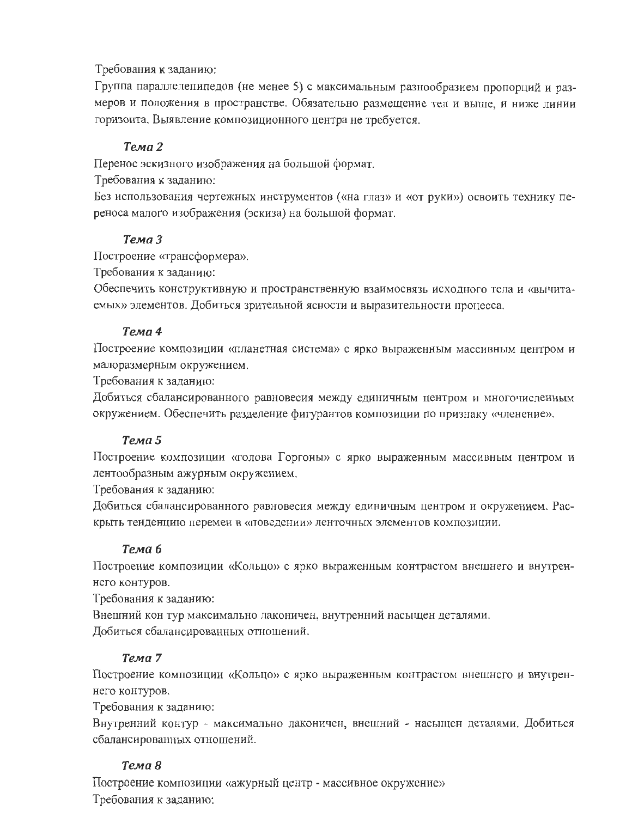#### Требования к заданию:

Группа параллелепипедов (не менее 5) с максимальным разнообразием пропорций и размеров и положения в пространстве. Обязательно размещение тел и выше, и ниже линии горизонта. Выявление композиционного центра не требуется.

## Тема 2

Перенос эскизного изображения на большой формат.

Требования к заданию:

Без использования чертежных инструментов («на глаз» и «от руки») освоить технику переноса малого изображения (эскиза) на большой формат.

### Тема 3

Построение «трансформера».

Требования к заданию:

Обеспечить конструктивную и пространственную взаимосвязь исходного тела и «вычитаемых» элементов. Добиться зрительной ясности и выразительности процесса.

### Тема 4

Построение композиции «планетная система» с ярко выраженным массивным центром и малоразмерным окружением.

Требования к заданию:

Добиться сбалансированного равновесия между единичным центром и многочисленным окружением. Обеспечить разделение фигурантов композиции по признаку «членение».

### Тема 5

Построение композиции «голова Горгоны» с ярко выраженным массивным центром и лентообразным ажурным окружением.

Требования к заданию:

Добиться сбалансированного равновесия между единичным центром и окружением. Раскрыть тенденцию перемен в «поведении» ленточных элементов композиции.

### Тема 6

Построение композиции «Кольцо» с ярко выраженным контрастом внешнего и внутреннего контуров.

Требования к заданию:

Внешний кон тур максимально лаконичен, внутренний насыщен деталями. Добиться сбалансированных отношений.

### Тема 7

Построение композиции «Кольцо» с ярко выраженным контрастом внешнсго и внутреннего контуров.

Требования к заданию:

Внутренний контур - максимально лаконичен, внешний - насыщен деталями. Добиться сбалансированных отношений.

### Тема 8

Построение композиции «ажурный центр - массивное окружение» Требования к заданию: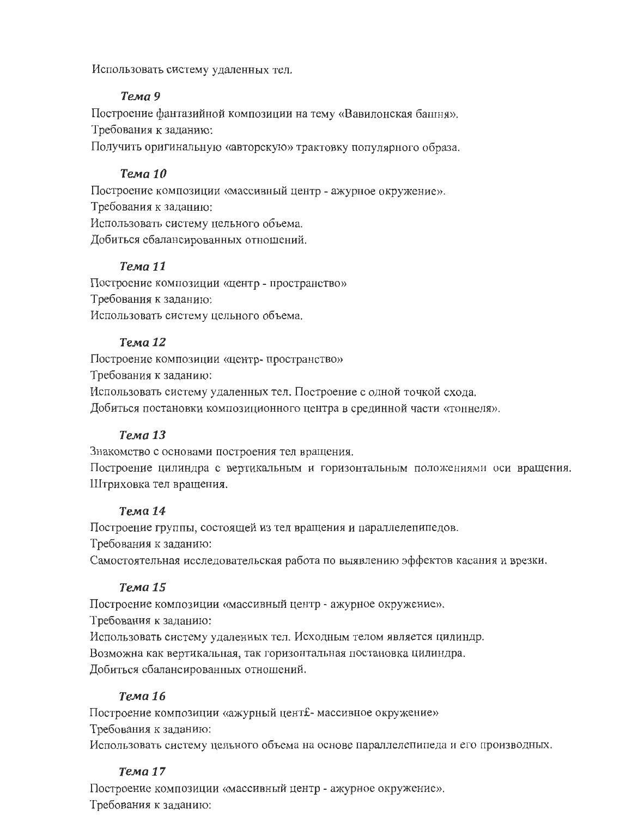Использовать систему удаленных тел.

## Тема 9

Построение фантазийной композиции на тему «Вавилонская башня». Требования к заданию:

Получить оригинальную «авторскую» трактовку популярного образа.

## Тема 10

Построение композиции «массивный центр - ажурное окружение». Требования к заданию: Использовать систему цельного объема. Добиться сбалансированных отношений.

## Тема 11

Построение композиции «центр - пространство» Требования к заданию: Использовать систему цельного объема.

## Тема 12

Построение композиции «центр-пространство»

Требования к заданию:

Использовать систему удаленных тел. Построение с одной точкой схода.

Добиться постановки композиционного центра в срединной части «тоннеля».

## Тема 13

Знакомство с основами построения тел вращения.

Построение цилиндра с вертикальным и горизонтальным положениями оси вращения. Штриховка тел вращения.

## Тема 14

Построение группы, состоящей из тел вращения и параллелепипедов.

Требования к заданию:

Самостоятельная исследовательская работа по выявлению эффектов касания и врезки.

## Тема 15

Построение композиции «массивный центр - ажурное окружение».

Требования к заданию:

Использовать систему удаленных тел. Исходным телом является цилиндр.

Возможна как вертикальная, так горизонтальная постановка цилиндра.

Добиться сбалансированных отношений.

## Тема 16

Построение композиции «ажурный цент£- массивное окружение» Требования к заданию: Использовать систему цельного объема на основе параллелепипеда и его производных.

## Тема 17

Построение композиции «массивный центр - ажурное окружение». Требования к заданию: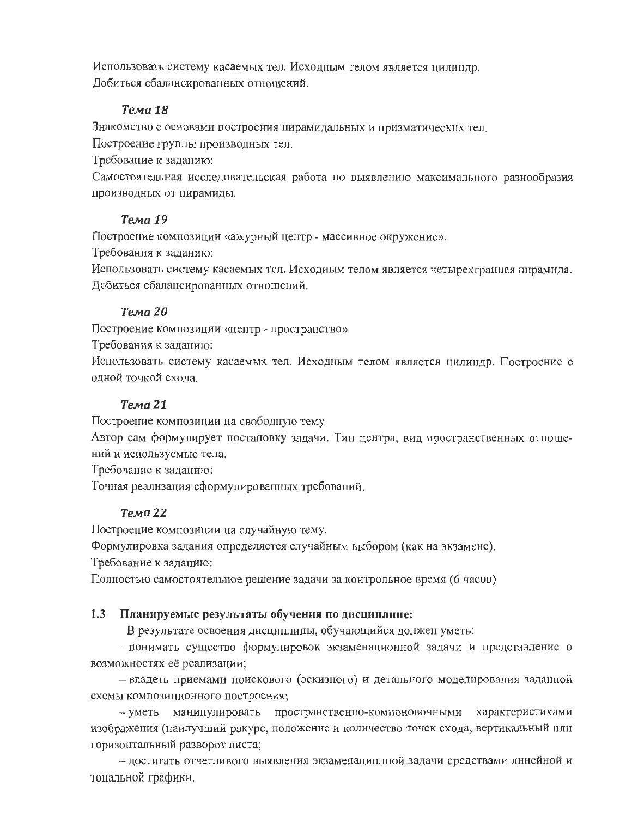Использовать систему касаемых тел. Исходным телом является цилиндр. Добиться сбалансированных отношений.

## Тема 18

Знакомство с основами построения пирамидальных и призматических тел.

Построение группы производных тел.

Требование к заданию:

Самостоятельная исследовательская работа по выявлению максимального разнообразия производных от пирамиды.

## Тема 19

Построение композиции «ажурный центр - массивное окружение».

Требования к заданию:

Использовать систему касаемых тел. Исходным телом является четырехгранная пирамида. Добиться сбалансированных отношений.

## Тема 20

Построение композиции «центр - пространство»

Требования к заданию:

Использовать систему касаемых тел. Исходным телом является цилиндр. Построение с одной точкой схода.

## Тема 21

Построение композиции на свободную тему.

Автор сам формулирует постановку задачи. Тип центра, вид пространственных отношений и используемые тела.

Требование к заданию:

Точная реализация сформулированных требований.

## Тема 22

Построение композиции на случайную тему.

Формулировка задания определяется случайным выбором (как на экзамене).

Требование к заданию.

Полностью самостоятельное решение задачи за контрольное время (6 часов)

## 1.3 Планируемые результаты обучения по дисциплине:

В результате освоения дисциплины, обучающийся должен уметь:

- понимать существо формулировок экзаменационной задачи и представление о возможностях её реализации;

- владеть приемами поискового (эскизного) и детального моделирования заданной схемы композиционного построения;

- уметь манипулировать пространственно-компоновочными характеристиками изображения (наилучший ракурс, положение и количество точек схода, вертикальный или горизонтальный разворот листа;

- достигать отчетливого выявления экзаменационной задачи средствами лннейной и тональной графики.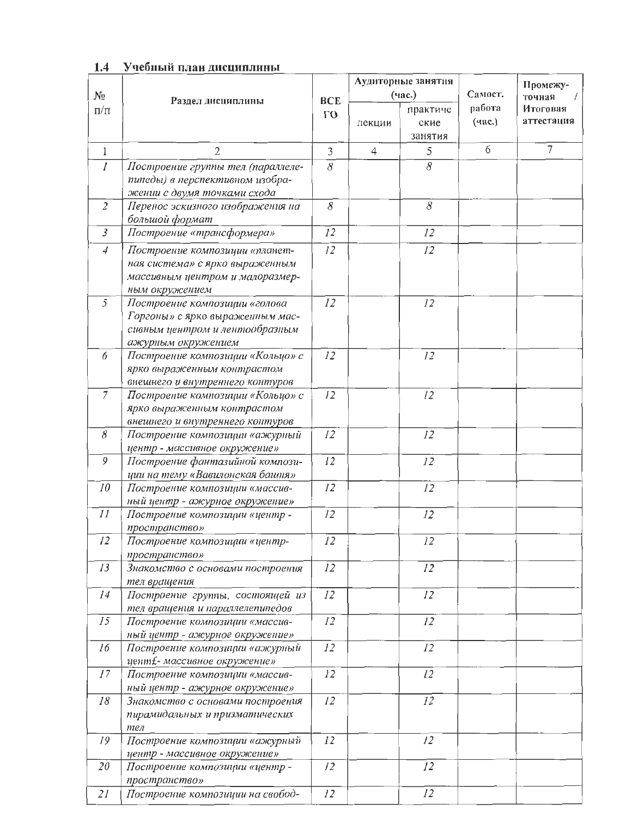|                |                                                |            |                | Аудиторные занятия  |                   | Промежу-       |  |
|----------------|------------------------------------------------|------------|----------------|---------------------|-------------------|----------------|--|
| $N_{2}$        |                                                | <b>BCE</b> |                | (час.)              | Самост.<br>работа | точная         |  |
| $\Pi/\Pi$      | Раздел дисциплины                              |            |                | практиче            |                   | Итоговая       |  |
|                |                                                | $\Gamma$ O | лекции         | ские                | (час.)            | аттестация     |  |
|                |                                                |            |                | занятия             |                   |                |  |
| $\mathbf{1}$   | $\overline{2}$                                 | 3          | $\overline{4}$ | 5                   | 6                 | $\overline{7}$ |  |
| $\overline{I}$ | Построение группы тел (параллеле-              | 8          |                | $\overline{\delta}$ |                   |                |  |
|                | пипеды) в перспективном изобра-                |            |                |                     |                   |                |  |
|                | жении с двумя точками схода                    |            |                |                     |                   |                |  |
| $\overline{2}$ | Перенос эскизного изображения на               | $\delta$   |                | $\delta$            |                   |                |  |
|                | большой формат                                 |            |                |                     |                   |                |  |
| $\overline{3}$ | Построение «трансформера»                      | 12         |                | 12                  |                   |                |  |
| $\overline{4}$ | Построение композиции «планет-                 | 12         |                | 12                  |                   |                |  |
|                | ная система» с ярко выраженным                 |            |                |                     |                   |                |  |
|                | массивным центром и малоразмер-                |            |                |                     |                   |                |  |
|                | ным окружением                                 |            |                |                     |                   |                |  |
| 5              | Построение композиции «голова                  | 12         |                | 12                  |                   |                |  |
|                | Горгоны» с ярко выраженным мас-                |            |                |                     |                   |                |  |
|                | сивным центром и лентообразным                 |            |                |                     |                   |                |  |
|                | ажурным окружением                             |            |                |                     |                   |                |  |
| 6              | Построение композиции «Кольцо» с               | 12         |                | 12                  |                   |                |  |
|                | ярко выраженным контрастом                     |            |                |                     |                   |                |  |
|                | внешнего и внутреннего контуров                |            |                |                     |                   |                |  |
| $\overline{7}$ | Построение композиции «Кольцо» с               | 12         |                | 12                  |                   |                |  |
|                | ярко выраженным контрастом                     |            |                |                     |                   |                |  |
|                | внешнего и внутреннего контуров                |            |                |                     |                   |                |  |
| 8              | Построение композиции «ажурный                 | 12         |                | 12                  |                   |                |  |
|                | центр - массивное окружение»                   |            |                |                     |                   |                |  |
| 9              | Построение фантазийной компози-                | 12         |                | 12                  |                   |                |  |
|                | ции на тему «Вавилонская башня»                |            |                |                     |                   |                |  |
| 10             | Построение композиции «массив-                 | 12         |                | 12                  |                   |                |  |
|                | ный центр - ажурное окружение»                 |            |                |                     |                   |                |  |
| II             | Построение композиции «центр -                 | 12         |                | 12                  |                   |                |  |
| 12             | пространство»<br>Построение композиции «центр- | 12         |                | 12                  |                   |                |  |
|                | пространство»                                  |            |                |                     |                   |                |  |
| 13             | Знакомство с основами построения               | 12         |                | 12                  |                   |                |  |
|                | тел вращения                                   |            |                |                     |                   |                |  |
| 14             | Построение группы, состоящей из                | 12         |                | 12                  |                   |                |  |
|                | тел вращения и параллелепипедов                |            |                |                     |                   |                |  |
| 15             | Построение композиции «массив-                 | 12         |                | 12                  |                   |                |  |
|                | ный центр - ажурное окружение»                 |            |                |                     |                   |                |  |
| 16             | Построение композиции «ажурный                 | 12         |                | 12                  |                   |                |  |
|                | цент£- массивное окружение»                    |            |                |                     |                   |                |  |
| 17             | Построение композиции «массив-                 | 12         |                | 12                  |                   |                |  |
|                | ный центр - ажурное окружение»                 |            |                |                     |                   |                |  |
| 18             | Знакомство с основами построения               | 12         |                | 12                  |                   |                |  |
|                | пирамидальных и призматических                 |            |                |                     |                   |                |  |
|                | тел                                            |            |                |                     |                   |                |  |
| 19             | Построение композиции «ажурный                 | 12         |                | 12                  |                   |                |  |
|                | центр - массивное окружение»                   |            |                |                     |                   |                |  |
| 20             | Построение композиции «центр -                 | 12         |                | 12                  |                   |                |  |
|                | пространство»                                  |            |                |                     |                   |                |  |
| 21             | Построение композиции на свобод-               | 12         |                | 12                  |                   |                |  |

## 1.4 Учебный план дисциплины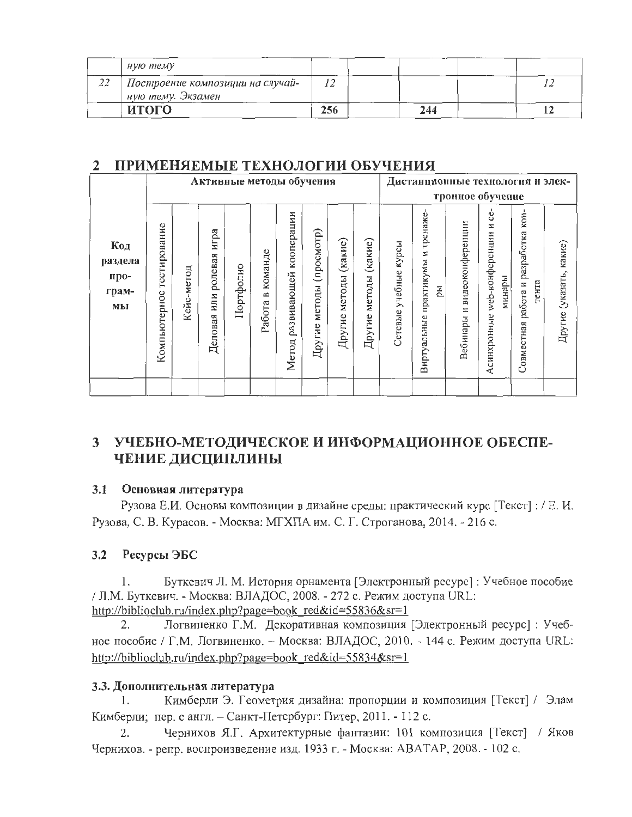|          | ную тему                                              |     |     |  |
|----------|-------------------------------------------------------|-----|-----|--|
| 22<br>∠∠ | Построение композиции на случай-<br>ную тему. Экзамен |     |     |  |
|          | итого                                                 | 256 | 244 |  |

#### ПРИМЕНЯЕМЫЕ ТЕХНОЛОГИИ ОБУЧЕНИЯ  $2^{\circ}$

|                                       |                              | Активные методы обучения |                                   |           |                        |                                    |                                |                                |                             | Дистанционные технологии и элек-<br>тронное обучение |                                                 |                                   |                                                    |                                                       |                            |
|---------------------------------------|------------------------------|--------------------------|-----------------------------------|-----------|------------------------|------------------------------------|--------------------------------|--------------------------------|-----------------------------|------------------------------------------------------|-------------------------------------------------|-----------------------------------|----------------------------------------------------|-------------------------------------------------------|----------------------------|
| Код<br>раздела<br>про-<br>грам-<br>мы | тестирование<br>Компьютерное | Кейс-метод               | игра<br>ролевая<br>или<br>Деловая | Портфолио | команде<br>≃<br>Работа | кооперации<br>развивающей<br>Метод | (просмотр)<br>методы<br>Другие | $(ka$ кие)<br>методы<br>Другие | (какие)<br>методы<br>Другие | курсы<br>учебные<br>Сетевые                          | тренаже<br>И<br>практикумы<br>pы<br>Виртуальные | видеоконференции<br>Ξ<br>Вебинары | Š<br>Z<br>web-конференции<br>минары<br>Асинхронные | KOH-<br>разработка<br>тента<br>работа и<br>Совместная | какие)<br>Другие (указать, |
|                                       |                              |                          |                                   |           |                        |                                    |                                |                                |                             |                                                      |                                                 |                                   |                                                    |                                                       |                            |

# 3 УЧЕБНО-МЕТОДИЧЕСКОЕ И ИНФОРМАЦИОННОЕ ОБЕСПЕ-ЧЕНИЕ ДИСЦИПЛИНЫ

#### $3.1$ Основная литература

Рузова Е.И. Основы композиции в дизайне среды: практический курс [Текст]: / Е.И. Рузова, С. В. Курасов. - Москва: МГХПА им. С. Г. Строганова, 2014. - 216 с.

#### $3.2$ Ресурсы ЭБС

Буткевич Л. М. История орнамента [Электронный ресурс] : Учебное пособие 1. / Л.М. Буткевич. - Москва: ВЛАДОС, 2008. - 272 с. Режим доступа URL: http://biblioclub.ru/index.php?page=book red&id=55836&sr=1

Логвиненко Г.М. Декоративная композиция [Электронный ресурс]: Учеб-2. ное пособие / Г.М. Логвиненко. - Москва: ВЛАДОС, 2010. - 144 с. Режим доступа URL: http://biblioclub.ru/index.php?page=book red&id=55834&sr=1

### 3.3. Дополнительная литература

Кимберли Э. Геометрия дизайна: пропорции и композиция [Текст] / Элам  $1_{\cdot}$ Кимберли; пер. с англ. - Санкт-Петербург: Питер, 2011. - 112 с.

Чернихов Я.Г. Архитектурные фантазии: 101 композиция [Текст] / Яков 2. Чернихов. - репр. воспроизведение изд. 1933 г. - Москва: АВАТАР, 2008. - 102 с.